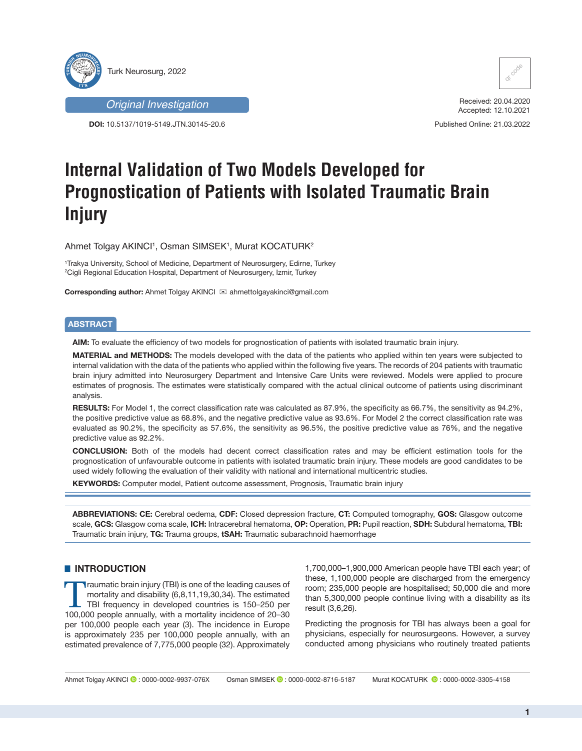

*Original Investigation*

**DOI:** 10.5137/1019-5149.JTN.30145-20.6



Received: 20.04.2020 Accepted: 12.10.2021

Published Online: 21.03.2022

# **Internal Validation of Two Models Developed for Prognostication of Patients with Isolated Traumatic Brain Injury**

Ahmet Tolgay AKINCI<sup>ı</sup>, Osman SIMSEK', Murat KOCATURK<sup>2</sup>

1 Trakya University, School of Medicine, Department of Neurosurgery, Edirne, Turkey 2 Cigli Regional Education Hospital, Department of Neurosurgery, Izmir, Turkey

**Corresponding author:** Ahmet Tolgay AKINCI <sup>⊠</sup> ahmettolgayakinci@gmail.com

# **ABSTRACT**

**AIM:** To evaluate the efficiency of two models for prognostication of patients with isolated traumatic brain injury.

**MATERIAL and METHODS:** The models developed with the data of the patients who applied within ten years were subjected to internal validation with the data of the patients who applied within the following five years. The records of 204 patients with traumatic brain injury admitted into Neurosurgery Department and Intensive Care Units were reviewed. Models were applied to procure estimates of prognosis. The estimates were statistically compared with the actual clinical outcome of patients using discriminant analysis.

**RESULTS:** For Model 1, the correct classification rate was calculated as 87.9%, the specificity as 66.7%, the sensitivity as 94.2%, the positive predictive value as 68.8%, and the negative predictive value as 93.6%. For Model 2 the correct classification rate was evaluated as 90.2%, the specificity as 57.6%, the sensitivity as 96.5%, the positive predictive value as 76%, and the negative predictive value as 92.2%.

**CONCLUSION:** Both of the models had decent correct classification rates and may be efficient estimation tools for the prognostication of unfavourable outcome in patients with isolated traumatic brain injury. These models are good candidates to be used widely following the evaluation of their validity with national and international multicentric studies.

**KEYWORDS:** Computer model, Patient outcome assessment, Prognosis, Traumatic brain injury

**ABBREVIATIONS: CE:** Cerebral oedema, **CDF:** Closed depression fracture, **CT:** Computed tomography, **GOS:** Glasgow outcome scale, **GCS:** Glasgow coma scale, **ICH:** Intracerebral hematoma, **OP:** Operation, **PR:** Pupil reaction, **SDH:** Subdural hematoma, **TBI:** Traumatic brain injury, **TG:** Trauma groups, **tSAH:** Traumatic subarachnoid haemorrhage

# $\blacksquare$  **INTRODUCTION**

Traumatic brain injury (TBI) is one of the leading causes of mortality and disability (6,8,11,19,30,34). The estimated TBI frequency in developed countries is 150–250 per 100,000 people annually, with a mortality incidence of 20–30 per 100,000 people each year (3). The incidence in Europe is approximately 235 per 100,000 people annually, with an estimated prevalence of 7,775,000 people (32). Approximately

1,700,000–1,900,000 American people have TBI each year; of these, 1,100,000 people are discharged from the emergency room; 235,000 people are hospitalised; 50,000 die and more than 5,300,000 people continue living with a disability as its result (3,6,26).

Predicting the prognosis for TBI has always been a goal for physicians, especially for neurosurgeons. However, a survey conducted among physicians who routinely treated patients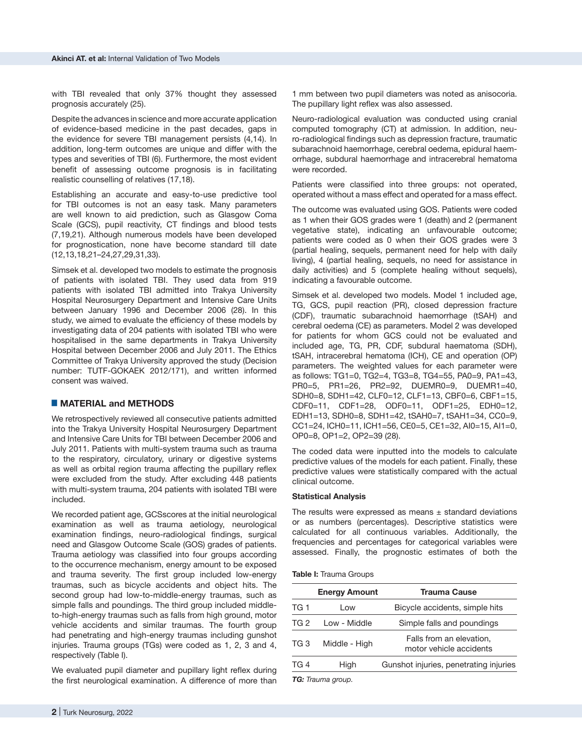with TBI revealed that only 37% thought they assessed prognosis accurately (25).

Despite the advances in science and more accurate application of evidence-based medicine in the past decades, gaps in the evidence for severe TBI management persists (4,14). In addition, long-term outcomes are unique and differ with the types and severities of TBI (6). Furthermore, the most evident benefit of assessing outcome prognosis is in facilitating realistic counselling of relatives (17,18).

Establishing an accurate and easy-to-use predictive tool for TBI outcomes is not an easy task. Many parameters are well known to aid prediction, such as Glasgow Coma Scale (GCS), pupil reactivity, CT findings and blood tests (7,19,21). Although numerous models have been developed for prognostication, none have become standard till date (12,13,18,21–24,27,29,31,33).

Simsek et al. developed two models to estimate the prognosis of patients with isolated TBI. They used data from 919 patients with isolated TBI admitted into Trakya University Hospital Neurosurgery Department and Intensive Care Units between January 1996 and December 2006 (28). In this study, we aimed to evaluate the efficiency of these models by investigating data of 204 patients with isolated TBI who were hospitalised in the same departments in Trakya University Hospital between December 2006 and July 2011. The Ethics Committee of Trakya University approved the study (Decision number: TUTF-GOKAEK 2012/171), and written informed consent was waived.

# █ **MATERIAL and METHODS**

We retrospectively reviewed all consecutive patients admitted into the Trakya University Hospital Neurosurgery Department and Intensive Care Units for TBI between December 2006 and July 2011. Patients with multi-system trauma such as trauma to the respiratory, circulatory, urinary or digestive systems as well as orbital region trauma affecting the pupillary reflex were excluded from the study. After excluding 448 patients with multi-system trauma, 204 patients with isolated TBI were included.

We recorded patient age, GCSscores at the initial neurological examination as well as trauma aetiology, neurological examination findings, neuro-radiological findings, surgical need and Glasgow Outcome Scale (GOS) grades of patients. Trauma aetiology was classified into four groups according to the occurrence mechanism, energy amount to be exposed and trauma severity. The first group included low-energy traumas, such as bicycle accidents and object hits. The second group had low-to-middle-energy traumas, such as simple falls and poundings. The third group included middleto-high-energy traumas such as falls from high ground, motor vehicle accidents and similar traumas. The fourth group had penetrating and high-energy traumas including gunshot injuries. Trauma groups (TGs) were coded as 1, 2, 3 and 4, respectively (Table I).

We evaluated pupil diameter and pupillary light reflex during the first neurological examination. A difference of more than

1 mm between two pupil diameters was noted as anisocoria. The pupillary light reflex was also assessed.

Neuro-radiological evaluation was conducted using cranial computed tomography (CT) at admission. In addition, neuro-radiological findings such as depression fracture, traumatic subarachnoid haemorrhage, cerebral oedema, epidural haemorrhage, subdural haemorrhage and intracerebral hematoma were recorded.

Patients were classified into three groups: not operated, operated without a mass effect and operated for a mass effect.

The outcome was evaluated using GOS. Patients were coded as 1 when their GOS grades were 1 (death) and 2 (permanent vegetative state), indicating an unfavourable outcome; patients were coded as 0 when their GOS grades were 3 (partial healing, sequels, permanent need for help with daily living), 4 (partial healing, sequels, no need for assistance in daily activities) and 5 (complete healing without sequels), indicating a favourable outcome.

Simsek et al. developed two models. Model 1 included age, TG, GCS, pupil reaction (PR), closed depression fracture (CDF), traumatic subarachnoid haemorrhage (tSAH) and cerebral oedema (CE) as parameters. Model 2 was developed for patients for whom GCS could not be evaluated and included age, TG, PR, CDF, subdural haematoma (SDH), tSAH, intracerebral hematoma (ICH), CE and operation (OP) parameters. The weighted values for each parameter were as follows: TG1=0, TG2=4, TG3=8, TG4=55, PA0=9, PA1=43, PR0=5, PR1=26, PR2=92, DUEMR0=9, DUEMR1=40, SDH0=8, SDH1=42, CLF0=12, CLF1=13, CBF0=6, CBF1=15, CDF0=11, CDF1=28, ODF0=11, ODF1=25, EDH0=12, EDH1=13, SDH0=8, SDH1=42, tSAH0=7, tSAH1=34, CC0=9, CC1=24, ICH0=11, ICH1=56, CE0=5, CE1=32, AI0=15, AI1=0, OP0=8, OP1=2, OP2=39 (28).

The coded data were inputted into the models to calculate predictive values of the models for each patient. Finally, these predictive values were statistically compared with the actual clinical outcome.

#### **Statistical Analysis**

The results were expressed as means  $\pm$  standard deviations or as numbers (percentages). Descriptive statistics were calculated for all continuous variables. Additionally, the frequencies and percentages for categorical variables were assessed. Finally, the prognostic estimates of both the

#### **Table I:** Trauma Groups

|      | <b>Energy Amount</b> | <b>Trauma Cause</b>                                 |
|------|----------------------|-----------------------------------------------------|
| TG 1 | l ow                 | Bicycle accidents, simple hits                      |
| TG 2 | Low - Middle         | Simple falls and poundings                          |
| TG 3 | Middle - High        | Falls from an elevation,<br>motor vehicle accidents |
| TG 4 | High                 | Gunshot injuries, penetrating injuries              |
|      |                      |                                                     |

*TG: Trauma group.*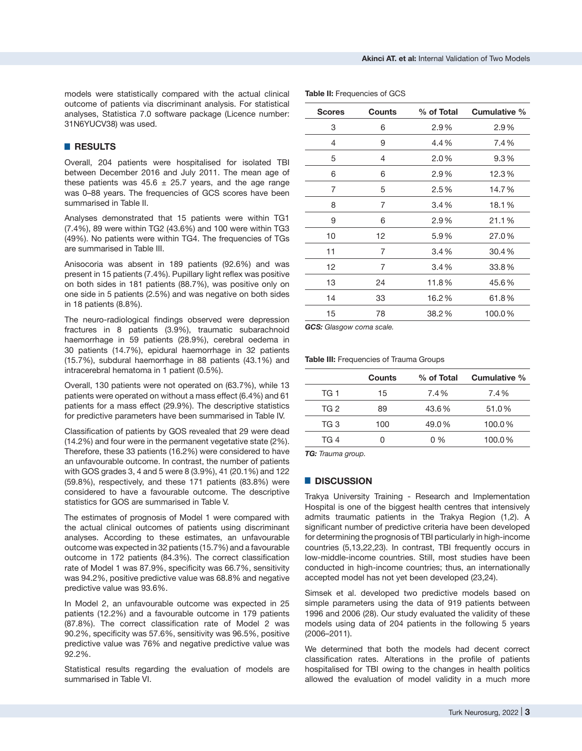models were statistically compared with the actual clinical outcome of patients via discriminant analysis. For statistical analyses, Statistica 7.0 software package (Licence number: 31N6YUCV38) was used.

# █ **RESULTS**

Overall, 204 patients were hospitalised for isolated TBI between December 2016 and July 2011. The mean age of these patients was  $45.6 \pm 25.7$  years, and the age range was 0–88 years. The frequencies of GCS scores have been summarised in Table II.

Analyses demonstrated that 15 patients were within TG1 (7.4%), 89 were within TG2 (43.6%) and 100 were within TG3 (49%). No patients were within TG4. The frequencies of TGs are summarised in Table III.

Anisocoria was absent in 189 patients (92.6%) and was present in 15 patients (7.4%). Pupillary light reflex was positive on both sides in 181 patients (88.7%), was positive only on one side in 5 patients (2.5%) and was negative on both sides in 18 patients (8.8%).

The neuro-radiological findings observed were depression fractures in 8 patients (3.9%), traumatic subarachnoid haemorrhage in 59 patients (28.9%), cerebral oedema in 30 patients (14.7%), epidural haemorrhage in 32 patients (15.7%), subdural haemorrhage in 88 patients (43.1%) and intracerebral hematoma in 1 patient (0.5%).

Overall, 130 patients were not operated on (63.7%), while 13 patients were operated on without a mass effect (6.4%) and 61 patients for a mass effect (29.9%). The descriptive statistics for predictive parameters have been summarised in Table IV.

Classification of patients by GOS revealed that 29 were dead (14.2%) and four were in the permanent vegetative state (2%). Therefore, these 33 patients (16.2%) were considered to have an unfavourable outcome. In contrast, the number of patients with GOS grades 3, 4 and 5 were 8 (3.9%), 41 (20.1%) and 122 (59.8%), respectively, and these 171 patients (83.8%) were considered to have a favourable outcome. The descriptive statistics for GOS are summarised in Table V.

The estimates of prognosis of Model 1 were compared with the actual clinical outcomes of patients using discriminant analyses. According to these estimates, an unfavourable outcome was expected in 32 patients (15.7%) and a favourable outcome in 172 patients (84.3%). The correct classification rate of Model 1 was 87.9%, specificity was 66.7%, sensitivity was 94.2%, positive predictive value was 68.8% and negative predictive value was 93.6%.

In Model 2, an unfavourable outcome was expected in 25 patients (12.2%) and a favourable outcome in 179 patients (87.8%). The correct classification rate of Model 2 was 90.2%, specificity was 57.6%, sensitivity was 96.5%, positive predictive value was 76% and negative predictive value was 92.2%.

Statistical results regarding the evaluation of models are summarised in Table VI.

| <b>Scores</b> | <b>Counts</b> | % of Total | Cumulative % |
|---------------|---------------|------------|--------------|
| 3             | 6             | 2.9%       | 2.9%         |
| 4             | 9             | 4.4%       | 7.4%         |
| 5             | 4             | 2.0%       | 9.3%         |
| 6             | 6             | 2.9%       | 12.3%        |
| 7             | 5             | 2.5%       | 14.7%        |
| 8             | 7             | 3.4%       | 18.1%        |
| 9             | 6             | 2.9%       | 21.1%        |
| 10            | 12            | 5.9%       | 27.0%        |
| 11            | 7             | 3.4%       | 30.4%        |
| 12            | 7             | 3.4%       | 33.8%        |
| 13            | 24            | 11.8%      | 45.6%        |
| 14            | 33            | 16.2%      | 61.8%        |
| 15            | 78            | 38.2%      | 100.0%       |

*GCS: Glasgow coma scale.*

**Table II:** Frequencies of GCS

**Table III:** Frequencies of Trauma Groups

|      | Counts | % of Total | Cumulative % |
|------|--------|------------|--------------|
| TG 1 | 15     | 7.4%       | 7.4%         |
| TG 2 | 89     | 43.6%      | 51.0%        |
| TG 3 | 100    | 49.0%      | 100.0%       |
| TG 4 |        | $0\%$      | 100.0%       |
|      |        |            |              |

*TG: Trauma group.*

### █ **DISCUSSION**

Trakya University Training - Research and Implementation Hospital is one of the biggest health centres that intensively admits traumatic patients in the Trakya Region (1,2). A significant number of predictive criteria have been developed for determining the prognosis of TBI particularly in high-income countries (5,13,22,23). In contrast, TBI frequently occurs in low-middle-income countries. Still, most studies have been conducted in high-income countries; thus, an internationally accepted model has not yet been developed (23,24).

Simsek et al. developed two predictive models based on simple parameters using the data of 919 patients between 1996 and 2006 (28). Our study evaluated the validity of these models using data of 204 patients in the following 5 years (2006–2011).

We determined that both the models had decent correct classification rates. Alterations in the profile of patients hospitalised for TBI owing to the changes in health politics allowed the evaluation of model validity in a much more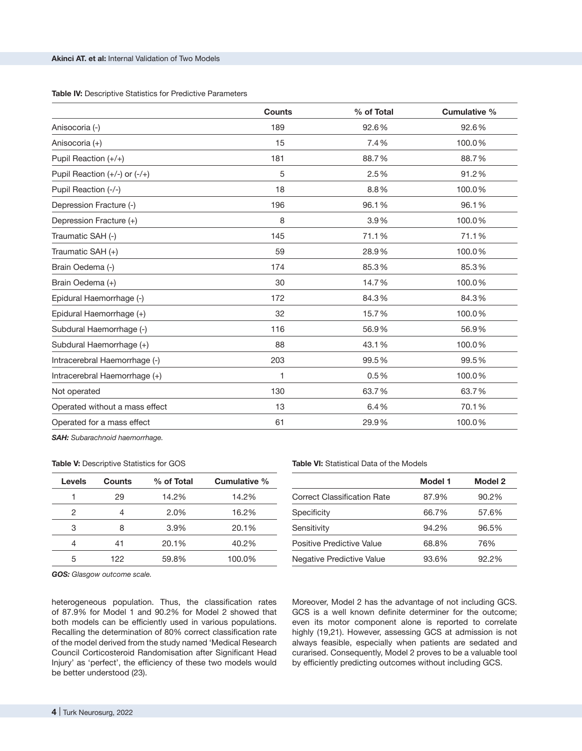**Table IV:** Descriptive Statistics for Predictive Parameters

| <b>Counts</b> | % of Total | Cumulative % |
|---------------|------------|--------------|
| 189           | 92.6%      | 92.6%        |
| 15            | 7.4%       | 100.0%       |
| 181           | 88.7%      | 88.7%        |
| 5             | 2.5%       | 91.2%        |
| 18            | 8.8%       | 100.0%       |
| 196           | 96.1%      | 96.1%        |
| 8             | 3.9%       | 100.0%       |
| 145           | 71.1%      | 71.1%        |
| 59            | 28.9%      | 100.0%       |
| 174           | 85.3%      | 85.3%        |
| 30            | 14.7%      | 100.0%       |
| 172           | 84.3%      | 84.3%        |
| 32            | 15.7%      | 100.0%       |
| 116           | 56.9%      | 56.9%        |
| 88            | 43.1%      | 100.0%       |
| 203           | 99.5%      | 99.5%        |
| 1             | 0.5%       | 100.0%       |
| 130           | 63.7%      | 63.7%        |
| 13            | 6.4%       | 70.1%        |
| 61            | 29.9%      | 100.0%       |
|               |            |              |

*SAH: Subarachnoid haemorrhage.*

|  |  |  | <b>Table V:</b> Descriptive Statistics for GOS |  |  |  |
|--|--|--|------------------------------------------------|--|--|--|
|--|--|--|------------------------------------------------|--|--|--|

| Levels | <b>Counts</b> | % of Total | Cumulative % |
|--------|---------------|------------|--------------|
|        | 29            | 14.2%      | 14.2%        |
| 2      |               | 2.0%       | 16.2%        |
| З      | 8             | 3.9%       | 20.1%        |
|        | 41            | 20.1%      | 40.2%        |
| 5      | 122           | 59.8%      | 100.0%       |

**Table VI:** Statistical Data of the Models

|                                    | Model 1 | Model 2  |
|------------------------------------|---------|----------|
| <b>Correct Classification Rate</b> | 87.9%   | 90.2%    |
| Specificity                        | 66.7%   | 57.6%    |
| Sensitivity                        | 94.2%   | 96.5%    |
| Positive Predictive Value          | 68.8%   | 76%      |
| Negative Predictive Value          | 93.6%   | $92.2\%$ |

*GOS: Glasgow outcome scale.*

heterogeneous population. Thus, the classification rates of 87.9% for Model 1 and 90.2% for Model 2 showed that both models can be efficiently used in various populations. Recalling the determination of 80% correct classification rate of the model derived from the study named 'Medical Research Council Corticosteroid Randomisation after Significant Head Injury' as 'perfect', the efficiency of these two models would be better understood (23).

Moreover, Model 2 has the advantage of not including GCS. GCS is a well known definite determiner for the outcome; even its motor component alone is reported to correlate highly (19,21). However, assessing GCS at admission is not always feasible, especially when patients are sedated and curarised. Consequently, Model 2 proves to be a valuable tool by efficiently predicting outcomes without including GCS.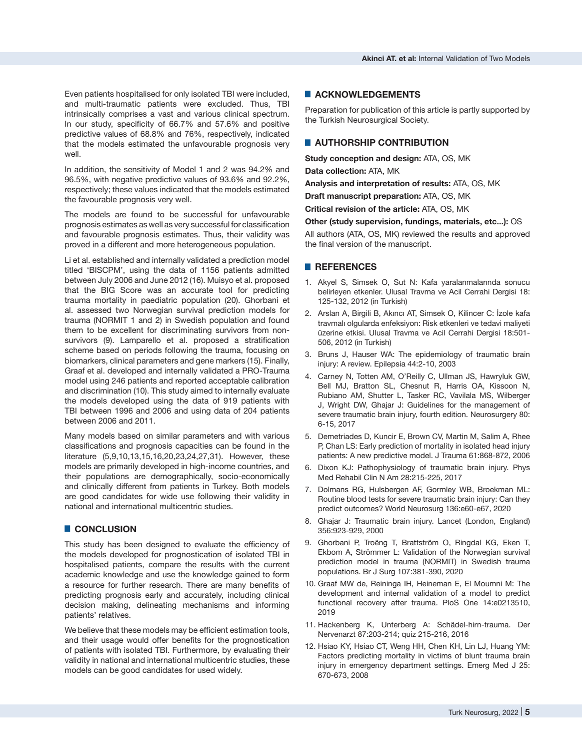Even patients hospitalised for only isolated TBI were included, and multi-traumatic patients were excluded. Thus, TBI intrinsically comprises a vast and various clinical spectrum. In our study, specificity of 66.7% and 57.6% and positive predictive values of 68.8% and 76%, respectively, indicated that the models estimated the unfavourable prognosis very well.

In addition, the sensitivity of Model 1 and 2 was 94.2% and 96.5%, with negative predictive values of 93.6% and 92.2%, respectively; these values indicated that the models estimated the favourable prognosis very well.

The models are found to be successful for unfavourable prognosis estimates as well as very successful for classification and favourable prognosis estimates. Thus, their validity was proved in a different and more heterogeneous population.

Li et al. established and internally validated a prediction model titled 'BISCPM', using the data of 1156 patients admitted between July 2006 and June 2012 (16). Muisyo et al. proposed that the BIG Score was an accurate tool for predicting trauma mortality in paediatric population (20). Ghorbani et al. assessed two Norwegian survival prediction models for trauma (NORMIT 1 and 2) in Swedish population and found them to be excellent for discriminating survivors from nonsurvivors (9). Lamparello et al. proposed a stratification scheme based on periods following the trauma, focusing on biomarkers, clinical parameters and gene markers (15). Finally, Graaf et al. developed and internally validated a PRO-Trauma model using 246 patients and reported acceptable calibration and discrimination (10). This study aimed to internally evaluate the models developed using the data of 919 patients with TBI between 1996 and 2006 and using data of 204 patients between 2006 and 2011.

Many models based on similar parameters and with various classifications and prognosis capacities can be found in the literature (5,9,10,13,15,16,20,23,24,27,31). However, these models are primarily developed in high-income countries, and their populations are demographically, socio-economically and clinically different from patients in Turkey. Both models are good candidates for wide use following their validity in national and international multicentric studies.

# █ **CONCLUSION**

This study has been designed to evaluate the efficiency of the models developed for prognostication of isolated TBI in hospitalised patients, compare the results with the current academic knowledge and use the knowledge gained to form a resource for further research. There are many benefits of predicting prognosis early and accurately, including clinical decision making, delineating mechanisms and informing patients' relatives.

We believe that these models may be efficient estimation tools, and their usage would offer benefits for the prognostication of patients with isolated TBI. Furthermore, by evaluating their validity in national and international multicentric studies, these models can be good candidates for used widely.

# █ **ACKNOWLEDGEMENTS**

Preparation for publication of this article is partly supported by the Turkish Neurosurgical Society.

# █ **AUTHORSHIP CONTRIBUTION**

**Study conception and design:** ATA, OS, MK **Data collection:** ATA, MK

**Analysis and interpretation of results:** ATA, OS, MK

**Draft manuscript preparation:** ATA, OS, MK

**Critical revision of the article:** ATA, OS, MK

**Other (study supervision, fundings, materials, etc...):** OS All authors (ATA, OS, MK) reviewed the results and approved the final version of the manuscript.

#### █ **REFERENCES**

- 1. Akyel S, Simsek O, Sut N: Kafa yaralanmalarında sonucu belirleyen etkenler. Ulusal Travma ve Acil Cerrahi Dergisi 18: 125-132, 2012 (in Turkish)
- 2. Arslan A, Birgili B, Akıncı AT, Simsek O, Kilincer C: İzole kafa travmalı olgularda enfeksiyon: Risk etkenleri ve tedavi maliyeti üzerine etkisi. Ulusal Travma ve Acil Cerrahi Dergisi 18:501- 506, 2012 (in Turkish)
- 3. Bruns J, Hauser WA: The epidemiology of traumatic brain injury: A review. Epilepsia 44:2-10, 2003
- 4. Carney N, Totten AM, O'Reilly C, Ullman JS, Hawryluk GW, Bell MJ, Bratton SL, Chesnut R, Harris OA, Kissoon N, Rubiano AM, Shutter L, Tasker RC, Vavilala MS, Wilberger J, Wright DW, Ghajar J: Guidelines for the management of severe traumatic brain injury, fourth edition. Neurosurgery 80: 6-15, 2017
- 5. Demetriades D, Kuncir E, Brown CV, Martin M, Salim A, Rhee P, Chan LS: Early prediction of mortality in isolated head injury patients: A new predictive model. J Trauma 61:868-872, 2006
- 6. Dixon KJ: Pathophysiology of traumatic brain injury. Phys Med Rehabil Clin N Am 28:215-225, 2017
- 7. Dolmans RG, Hulsbergen AF, Gormley WB, Broekman ML: Routine blood tests for severe traumatic brain injury: Can they predict outcomes? World Neurosurg 136:e60-e67, 2020
- 8. Ghajar J: Traumatic brain injury. Lancet (London, England) 356:923-929, 2000
- 9. Ghorbani P, Troëng T, Brattström O, Ringdal KG, Eken T, Ekbom A, Strömmer L: Validation of the Norwegian survival prediction model in trauma (NORMIT) in Swedish trauma populations. Br J Surg 107:381-390, 2020
- 10. Graaf MW de, Reininga IH, Heineman E, El Moumni M: The development and internal validation of a model to predict functional recovery after trauma. PloS One 14:e0213510, 2019
- 11. Hackenberg K, Unterberg A: Schädel-hirn-trauma. Der Nervenarzt 87:203-214; quiz 215-216, 2016
- 12. Hsiao KY, Hsiao CT, Weng HH, Chen KH, Lin LJ, Huang YM: Factors predicting mortality in victims of blunt trauma brain injury in emergency department settings. Emerg Med J 25: 670-673, 2008